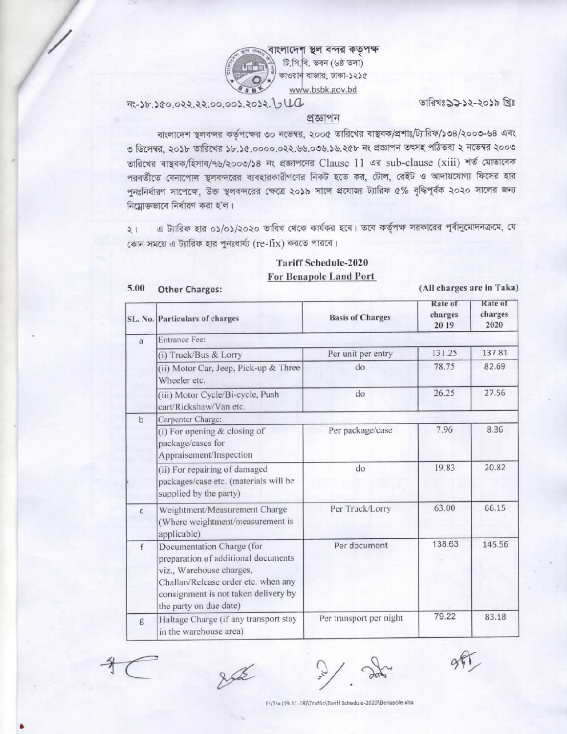

লাদেশ স্থল বন্দর কতৃপক্ষ টি.সি.বি. ভবন (৬ষ্ঠ তলা) কাওরান বাজার, ঢাকা-১২১৫ www.bsbk.gov.bd

# PLUC 360.022.22.00.003.2052. JUC

তারিখঃ১১১২-২০১৯ খ্রিঃ

### প্ৰক্তাপন

বাংলাদেশ স্থলবন্দর কর্তৃপক্ষের ৩০ নভেম্বর, ২০০৫ তারিখের বাস্থবক/প্রশাঃ/ট্যারিফ/১৩৪/২০০৩-৬৪ এবং ৩ ডিসেম্বর, ২০১৮ তারিখের ১৮.১৫.০০০০.০২২.৬৬.০৩৬.১৬.২৫৮ নং প্রজ্ঞাপন তৎসহ পঠিতব্য ২ নভেম্বর ২০০৩ তারিখের বাস্থবক/হিসাব/৭৬/২০০৩/১৪ নং প্রজ্ঞাপনের Clause 11 এর sub-clause (xiii) শর্ত মোতাবেক পরবর্তীতে বেনাপোল স্থলবন্দরের ব্যবহারকারীগণের নিকট হতে কর, টোল, রেইট ও আদায়যোগ্য ফিসের হার পুনঃনির্ধারণ সাপেক্ষে, উক্ত স্থলবন্দরের ক্ষেত্রে ২০১৯ সালে প্রযোজ্য ট্যারিফ ৫% বৃদ্ধিপূর্বক ২০২০ সালের জন্য নিয়োক্তভাবে নির্ধারণ করা হ'ল।

এ ট্যারিফ হার ০১/০১/২০২০ তারিখ থেকে কার্যকর হবে। তবে কর্তৃপক্ষ সরকারের পূর্বানুমোদনক্রমে, যে  $\frac{1}{2}$ কোন সময়ে এ ট্যারিফ হার পুনঃধার্য্য (re-fix) করতে পারবে।

# **Tariff Schedule-2020 For Benapole Land Port**

| 5.00 |  | <b>Other Charges:</b> |  |
|------|--|-----------------------|--|
|------|--|-----------------------|--|

(All charges are in Taka)

|                                                                                                                                                                                                            | SL. No. Particulars of charges                                                                   | <b>Basis of Charges</b> | Rate of<br>charges<br>2019 | Rate of<br>charges<br>2020 |
|------------------------------------------------------------------------------------------------------------------------------------------------------------------------------------------------------------|--------------------------------------------------------------------------------------------------|-------------------------|----------------------------|----------------------------|
| $\overline{a}$                                                                                                                                                                                             | Entrance Fee:                                                                                    |                         |                            |                            |
|                                                                                                                                                                                                            | (i) Truck/Bus & Lorry                                                                            | Per unit per entry      | 131.25                     | 137.81                     |
|                                                                                                                                                                                                            | (ii) Motor Car, Jeep, Pick-up & Three<br>Wheeler etc.                                            | do                      | 78.75                      | 82.69                      |
|                                                                                                                                                                                                            | (iii) Motor Cycle/Bi-cycle, Push<br>cart/Rickshaw/Van etc.                                       | do                      | 26.25                      | 27.56                      |
| $\mathbf b$                                                                                                                                                                                                | Carpenter Charge:                                                                                |                         |                            |                            |
|                                                                                                                                                                                                            | Per package/case<br>(i) For opening & closing of<br>package/cases for<br>Appraisement/Inspection |                         | 7.96                       | 8.36                       |
|                                                                                                                                                                                                            | (ii) For repairing of damaged<br>packages/case etc. (materials will be<br>supplied by the party) | do                      | 19.83                      | 20.82                      |
| $\mathsf{C}$                                                                                                                                                                                               | Weightment/Measurement Charge<br>(Where weightment/measurement is<br>applicable)                 | Per Truck/Lorry         | 63.00                      | 66.15                      |
| Documentation Charge (for<br>f<br>preparation of additional documents<br>viz., Warehouse charges,<br>Challan/Release order etc. when any<br>consignment is not taken delivery by<br>the party on due date) |                                                                                                  | Per document            | 138.63                     | 145.56                     |
| g                                                                                                                                                                                                          | Haltage Charge (if any transport stay<br>in the warehouse area)                                  | Per transport per night | 79.22                      | 83.18                      |

Ask

F:\Tra (19-11-18)\Traffic\Tariff Schedule-2020\Benapole.xlsx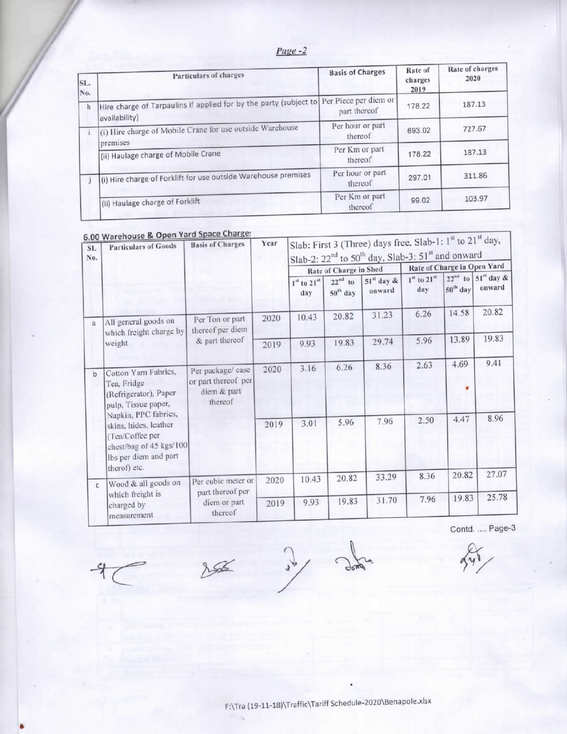| SL.<br>No. | Particulars of charges                                                             | <b>Basis of Charges</b>               | Rate of<br>charges<br>2019 | Rate of charges<br>2020 |
|------------|------------------------------------------------------------------------------------|---------------------------------------|----------------------------|-------------------------|
| $\hbar$    | Hire charge of Tarpaulins if applied for by the party (subject to<br>availability) | Per Piece per diem or<br>part thereof | 178.22                     | 187.13                  |
|            | (i) Hire charge of Mobile Crane for use outside Warehouse<br>premises              | Per hour or part<br>thereof           | 693.02                     | 727.67                  |
|            | (ii) Haulage charge of Mobile Crane                                                | Per Km or part<br>thereof             | 178.22                     | 187.13                  |
|            | (i) Hire charge of Forklift for use outside Warehouse premises                     | Per hour or part<br>thereof           | 297.01                     | 311.86                  |
|            | (ii) Haulage charge of Forklift                                                    | Per Km or part<br>thereof             | 99.02                      | 103.97                  |

### se Chargo  $\mathbf{r}$

| <b>SL</b><br>No.                                                                                                                     | 6.00 Warehouse & Open Tailo Space Charges<br><b>Particulars of Goods</b>            | <b>Basis of Charges</b>                                            | Year  | Slab: First 3 (Three) days free, Slab-1: 1 <sup>st</sup> to 21 <sup>st</sup> day,<br>Slab-2: $22^{nd}$ to $50^{th}$ day, Slab-3: $51^{st}$ and onward |                                     |                        |                             |            |                                        |  |
|--------------------------------------------------------------------------------------------------------------------------------------|-------------------------------------------------------------------------------------|--------------------------------------------------------------------|-------|-------------------------------------------------------------------------------------------------------------------------------------------------------|-------------------------------------|------------------------|-----------------------------|------------|----------------------------------------|--|
|                                                                                                                                      |                                                                                     |                                                                    |       |                                                                                                                                                       | Rate of Charge in Shed              |                        | Rate of Charge in Open Yard |            |                                        |  |
|                                                                                                                                      |                                                                                     |                                                                    |       | $1st$ to $21st$<br>day                                                                                                                                | $22^{\mathrm{nd}}$ to<br>$50th$ day | $51st$ day &<br>onward | $1st$ to $21st$<br>dav      | $50th$ day | $22^{nd}$ to $51^{st}$ day &<br>onward |  |
| a                                                                                                                                    | All general goods on                                                                | Per Ton or part<br>thereof per diem                                | 2020  | 10.43                                                                                                                                                 | 20.82                               | 31.23                  | 6.26                        | 14.58      | 20.82                                  |  |
|                                                                                                                                      | which freight charge by<br>weight                                                   | & part thereof                                                     | 2019  | 9.93                                                                                                                                                  | 19.83                               | 29.74                  | 5.96                        | 13.89      | 19.83                                  |  |
|                                                                                                                                      |                                                                                     |                                                                    | 2020  | 3.16                                                                                                                                                  | 6.26                                | 8.36                   | 2.63                        | 4.69       | 9.41                                   |  |
| b                                                                                                                                    | Cotton Yarn Fabrics,<br>Tea, Fridge<br>(Refrigerator), Paper<br>pulp, Tissue paper, | Per package/ case<br>or part thereof per<br>diem & part<br>thereof |       |                                                                                                                                                       |                                     |                        |                             |            |                                        |  |
| Napkin, PPC fabrics,<br>skins, hides, leather<br>(Tea/Coffee per<br>chest/bag of 45 kgs/100<br>Ibs per diem and part<br>therof) etc. |                                                                                     | 2019                                                               | 3.01  | 5.96                                                                                                                                                  | 7.96                                | 2.50                   | 4.47                        | 8.96       |                                        |  |
| Wood & all goods on<br>$\mathbb{C}$                                                                                                  | Per cubic meter or<br>part thereof per                                              | 2020                                                               | 10.43 | 20.82                                                                                                                                                 | 33.29                               | 8.36                   | 20.82                       | 27.07      |                                        |  |
|                                                                                                                                      | which freight is<br>charged by<br>measurement                                       | diem or part<br>thereof                                            | 2019  | 9.93                                                                                                                                                  | 19.83                               | 31.70                  | 7.96                        | 19.83      | 25.78                                  |  |

 $\mathcal{L}$ 

Contd. .... Page-3

 $85$ 

dona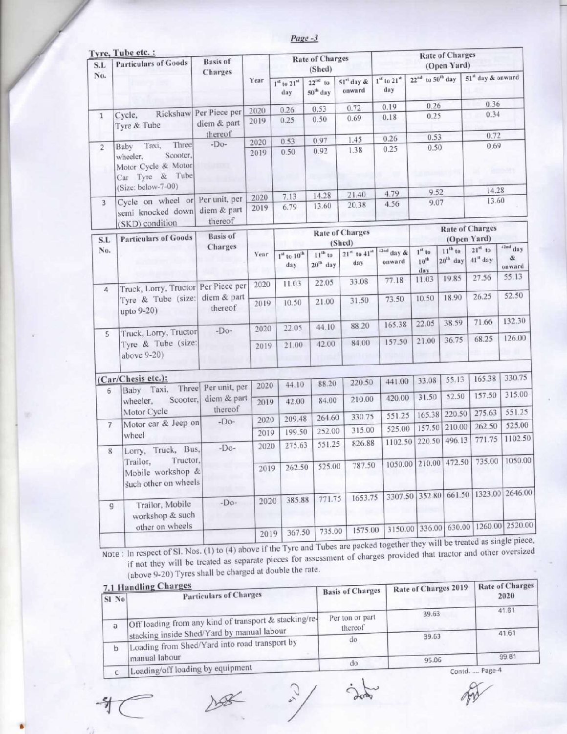Page -3

| S.L            | Tyre, Tube etc. :<br><b>Particulars of Goods</b>                                                               | <b>Basis</b> of<br>Charges            |              |                        | <b>Rate of Charges</b><br>(Shed)  |                                             |                                                                    |                              | <b>Rate of Charges</b><br>(Open Yard) |                                       |                                       |
|----------------|----------------------------------------------------------------------------------------------------------------|---------------------------------------|--------------|------------------------|-----------------------------------|---------------------------------------------|--------------------------------------------------------------------|------------------------------|---------------------------------------|---------------------------------------|---------------------------------------|
| No.            |                                                                                                                |                                       | Year         | $1st$ to $21st$<br>day | $22nd$ to<br>50 <sup>th</sup> day | $51''$ day &<br>onward                      | $1st$ to $21st$<br>day                                             | $22^{nd}$ to $50^{th}$ day   |                                       | 51 <sup>st</sup> day & onward         |                                       |
|                |                                                                                                                |                                       | 2020         | 0.26                   | 0.53                              | 0.72                                        | 0.19                                                               | 0.26                         |                                       | 0.36                                  |                                       |
| $1\,$          | Cycle,<br>Tyre & Tube                                                                                          | Rickshaw Per Piece per<br>diem & part | 2019         | 0.25                   | 0.50                              | 0.69                                        | 0.18                                                               | 0.25                         |                                       | 0.34                                  |                                       |
|                |                                                                                                                | thereof                               | 2020         | 0.53                   | 0.97                              | 1.45                                        | 0.26                                                               | 0.53                         |                                       | 0.72                                  |                                       |
| $\overline{2}$ | Three<br>Taxi,<br>Baby<br>Scooter.<br>wheeler.<br>Motor Cycle & Motor<br>Car Tyre & Tube<br>(Size: below-7-00) | $-Do-$                                | 2019         | 0.50                   | 0.92                              | 1.38                                        | 0.25                                                               | 0.50                         |                                       | 0.69                                  |                                       |
|                |                                                                                                                |                                       |              |                        | 14.28                             | 21.40                                       | 4.79                                                               | 9.52                         |                                       | 14.28                                 |                                       |
| 3              | Cycle on wheel or Per unit, per<br>semi knocked down                                                           | diem & part<br>thereof                | 2020<br>2019 | 7.13<br>6.79           | 13.60                             | 20.38                                       | 4.56                                                               | 9.07                         |                                       | 13.60                                 |                                       |
| S.L            | (SKD) condition<br><b>Particulars of Goods</b>                                                                 | <b>Basis</b> of                       |              |                        |                                   | <b>Rate of Charges</b>                      |                                                                    |                              |                                       | <b>Rate of Charges</b><br>(Open Yard) |                                       |
| No.            |                                                                                                                | Charges                               | Year         | $Ist$ to $10th$<br>day | $11^{th}$ to<br>$20^{th}$ day     | (Shed)<br>$21st$ to 41 <sup>st</sup><br>day | $42nd$ day &<br>onward                                             | $1st$ to<br>$10^{th}$<br>day | $11^{th}$ to<br>$20th$ day            | $21st$ to<br>41" day                  | <sup>42nd</sup> day<br>$\&$<br>onward |
| 4              | Truck, Lorry, Tructor Per Piece per                                                                            |                                       | 2020         | 11.03                  | 22.05                             | 33.08                                       | 77.18                                                              | 11.03                        | 19.85                                 | 27.56                                 | 55.13                                 |
|                | Tyre & Tube (size:<br>upto 9-20)                                                                               | diem & part<br>thereof                | 2019         | 10.50                  | 21.00                             | 31.50                                       | 73.50                                                              | 10.50                        | 18.90                                 | 26.25                                 | 52.50                                 |
| 5              | Truck, Lorry, Tructor                                                                                          | $-Do-$                                | 2020         | 22.05                  | 44.10                             | 88.20                                       | 165.38                                                             | 22.05                        | 38.59                                 | 71.66                                 | 132.30                                |
|                | Tyre & Tube (size:<br>above 9-20)                                                                              |                                       | 2019         | 21.00                  | 42.00                             | 84.00                                       | 157.50                                                             | 21.00                        | 36.75                                 | 68.25                                 | 126.00                                |
|                | (Car/Chesis etc.):                                                                                             |                                       |              |                        |                                   |                                             | 441.00                                                             | 33.08                        | 55.13                                 | 165.38                                | 330.75                                |
| 6              | Baby Taxi, Three Per unit, per                                                                                 |                                       | 2020         | 44.10                  | 88.20                             | 220.50                                      |                                                                    |                              |                                       |                                       |                                       |
|                | Scooter,<br>wheeler,<br>Motor Cycle                                                                            | diem & part<br>thereof                | 2019         | 42.00                  | 84.00                             | 210.00                                      | 420.00                                                             | 31.50                        | 52.50                                 | 157.50                                | 315.00<br>551.25                      |
|                | Motor car & Jeep on                                                                                            | $-Do-$                                | 2020         | 209.48                 | 264.60                            | 330.75                                      | 551.25                                                             | 165.38                       | 220.50                                | 275.63                                |                                       |
| $\overline{7}$ | wheel                                                                                                          |                                       | 2019         | 199.50                 | 252.00                            | 315.00                                      | 525.00                                                             |                              | 157.50 210.00<br>496.13               | 262.50<br>771.75                      | 525.00<br>1102.50                     |
| 8              | Lorry, Truck, Bus,                                                                                             | $-Do-$                                | 2020         | 275.63                 | 551.25                            | 826.88                                      |                                                                    | 1102.50 220.50               |                                       |                                       |                                       |
|                | Trailor, Tructor,<br>Mobile workshop &<br>such other on wheels                                                 |                                       | 2019         | 262.50                 | 525.00                            | 787.50                                      |                                                                    |                              |                                       | 1050.00 210.00 472.50 735.00 1050.00  |                                       |
| 9              | Trailor, Mobile<br>workshop & such                                                                             | $-Do-$                                | 2020         | 385.88                 | 771.75                            | 1653.75                                     |                                                                    |                              |                                       | 3307.50 352.80 661.50 1323.00 2646.00 |                                       |
|                | other on wheels                                                                                                |                                       | 2019         | 367.50                 | 735.00                            | 1575.00                                     | nd Tubes are nacked together they will be treated as single piece. |                              |                                       | 3150.00 336.00 630.00 1260.00 2520.00 |                                       |

Note: In respect of SI. Nos. (1) to (4) above if the Tyre and Tubes are packed together they will be treated as single piece, if not they will be treated as separate pieces for assessment of charges provided that tractor a (above 9-20) Tyres shall be charged at double the rate.

| $SI$ No | 7.1 Handling Charges<br><b>Particulars of Charges</b>          | <b>Basis of Charges</b> | Rate of Charges 2019 | Rate of Charges<br>2020 |  |
|---------|----------------------------------------------------------------|-------------------------|----------------------|-------------------------|--|
|         | Off loading from any kind of transport & stacking/re-          | Per ton or part         | 39.63                | 41.61                   |  |
| a       | stacking inside Shed/Yard by manual labour                     | thereof<br>$d\sigma$    | 39.63                | 41.61                   |  |
| D       | Loading from Shed/Yard into road transport by<br>manual labour |                         |                      | 99.81                   |  |
|         | Loading/off loading by equipment                               | do                      | 95.06                | Contd.  Page-4          |  |

 $\frac{2}{3}$